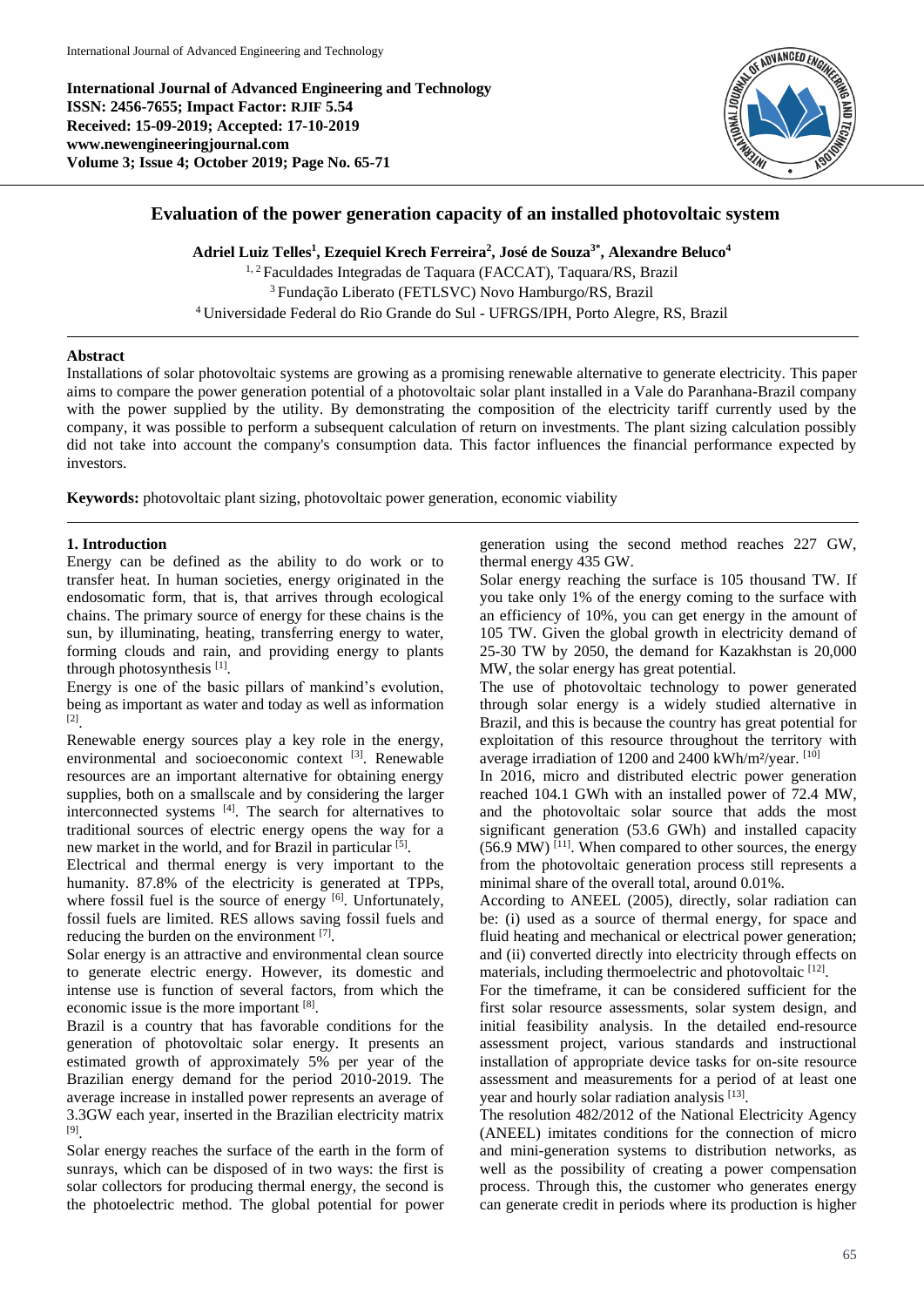**International Journal of Advanced Engineering and Technology ISSN: 2456-7655; Impact Factor: RJIF 5.54 Received: 15-09-2019; Accepted: 17-10-2019 www.newengineeringjournal.com Volume 3; Issue 4; October 2019; Page No. 65-71**



# **Evaluation of the power generation capacity of an installed photovoltaic system**

**Adriel Luiz Telles<sup>1</sup> , Ezequiel Krech Ferreira<sup>2</sup> , José de Souza3\* , Alexandre Beluco<sup>4</sup>** <sup>1, 2</sup> Faculdades Integradas de Taquara (FACCAT), Taquara/RS, Brazil <sup>3</sup>Fundação Liberato (FETLSVC) Novo Hamburgo/RS, Brazil <sup>4</sup> Universidade Federal do Rio Grande do Sul - UFRGS/IPH, Porto Alegre, RS, Brazil

#### **Abstract**

Installations of solar photovoltaic systems are growing as a promising renewable alternative to generate electricity. This paper aims to compare the power generation potential of a photovoltaic solar plant installed in a Vale do Paranhana-Brazil company with the power supplied by the utility. By demonstrating the composition of the electricity tariff currently used by the company, it was possible to perform a subsequent calculation of return on investments. The plant sizing calculation possibly did not take into account the company's consumption data. This factor influences the financial performance expected by investors.

**Keywords:** photovoltaic plant sizing, photovoltaic power generation, economic viability

#### **1. Introduction**

Energy can be defined as the ability to do work or to transfer heat. In human societies, energy originated in the endosomatic form, that is, that arrives through ecological chains. The primary source of energy for these chains is the sun, by illuminating, heating, transferring energy to water, forming clouds and rain, and providing energy to plants through photosynthesis<sup>[1]</sup>.

Energy is one of the basic pillars of mankind's evolution, being as important as water and today as well as information [2] .

Renewable energy sources play a key role in the energy, environmental and socioeconomic context [3]. Renewable resources are an important alternative for obtaining energy supplies, both on a smallscale and by considering the larger interconnected systems [4]. The search for alternatives to traditional sources of electric energy opens the way for a new market in the world, and for Brazil in particular [5].

Electrical and thermal energy is very important to the humanity. 87.8% of the electricity is generated at TPPs, where fossil fuel is the source of energy [6]. Unfortunately, fossil fuels are limited. RES allows saving fossil fuels and reducing the burden on the environment [7].

Solar energy is an attractive and environmental clean source to generate electric energy. However, its domestic and intense use is function of several factors, from which the economic issue is the more important [8].

Brazil is a country that has favorable conditions for the generation of photovoltaic solar energy. It presents an estimated growth of approximately 5% per year of the Brazilian energy demand for the period 2010-2019. The average increase in installed power represents an average of 3.3GW each year, inserted in the Brazilian electricity matrix [9] .

Solar energy reaches the surface of the earth in the form of sunrays, which can be disposed of in two ways: the first is solar collectors for producing thermal energy, the second is the photoelectric method. The global potential for power generation using the second method reaches 227 GW, thermal energy 435 GW.

Solar energy reaching the surface is 105 thousand TW. If you take only 1% of the energy coming to the surface with an efficiency of 10%, you can get energy in the amount of 105 TW. Given the global growth in electricity demand of 25-30 TW by 2050, the demand for Kazakhstan is 20,000 MW, the solar energy has great potential.

The use of photovoltaic technology to power generated through solar energy is a widely studied alternative in Brazil, and this is because the country has great potential for exploitation of this resource throughout the territory with average irradiation of 1200 and 2400 kWh/m<sup>2</sup>/year. [10]

In 2016, micro and distributed electric power generation reached 104.1 GWh with an installed power of 72.4 MW, and the photovoltaic solar source that adds the most significant generation (53.6 GWh) and installed capacity  $(56.9 \text{ MW})$ <sup>[11]</sup>. When compared to other sources, the energy from the photovoltaic generation process still represents a minimal share of the overall total, around 0.01%.

According to ANEEL (2005), directly, solar radiation can be: (i) used as a source of thermal energy, for space and fluid heating and mechanical or electrical power generation; and (ii) converted directly into electricity through effects on materials, including thermoelectric and photovoltaic [12].

For the timeframe, it can be considered sufficient for the first solar resource assessments, solar system design, and initial feasibility analysis. In the detailed end-resource assessment project, various standards and instructional installation of appropriate device tasks for on-site resource assessment and measurements for a period of at least one year and hourly solar radiation analysis [13].

The resolution 482/2012 of the National Electricity Agency (ANEEL) imitates conditions for the connection of micro and mini-generation systems to distribution networks, as well as the possibility of creating a power compensation process. Through this, the customer who generates energy can generate credit in periods where its production is higher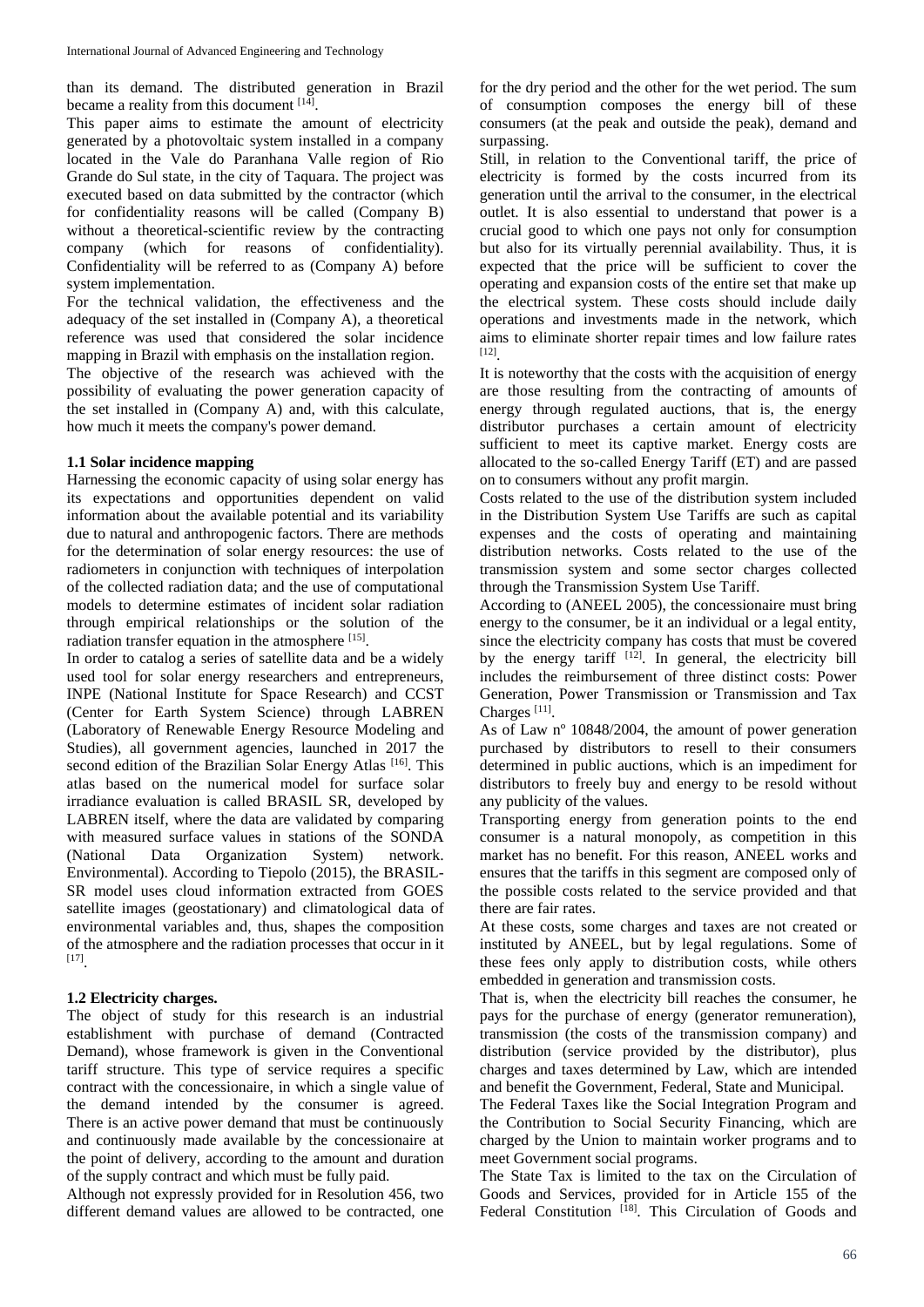than its demand. The distributed generation in Brazil became a reality from this document [14].

This paper aims to estimate the amount of electricity generated by a photovoltaic system installed in a company located in the Vale do Paranhana Valle region of Rio Grande do Sul state, in the city of Taquara. The project was executed based on data submitted by the contractor (which for confidentiality reasons will be called (Company B) without a theoretical-scientific review by the contracting company (which for reasons of confidentiality). Confidentiality will be referred to as (Company A) before system implementation.

For the technical validation, the effectiveness and the adequacy of the set installed in (Company A), a theoretical reference was used that considered the solar incidence mapping in Brazil with emphasis on the installation region.

The objective of the research was achieved with the possibility of evaluating the power generation capacity of the set installed in (Company A) and, with this calculate, how much it meets the company's power demand.

#### **1.1 Solar incidence mapping**

Harnessing the economic capacity of using solar energy has its expectations and opportunities dependent on valid information about the available potential and its variability due to natural and anthropogenic factors. There are methods for the determination of solar energy resources: the use of radiometers in conjunction with techniques of interpolation of the collected radiation data; and the use of computational models to determine estimates of incident solar radiation through empirical relationships or the solution of the radiation transfer equation in the atmosphere [15].

In order to catalog a series of satellite data and be a widely used tool for solar energy researchers and entrepreneurs, INPE (National Institute for Space Research) and CCST (Center for Earth System Science) through LABREN (Laboratory of Renewable Energy Resource Modeling and Studies), all government agencies, launched in 2017 the second edition of the Brazilian Solar Energy Atlas [16]. This atlas based on the numerical model for surface solar irradiance evaluation is called BRASIL SR, developed by LABREN itself, where the data are validated by comparing with measured surface values in stations of the SONDA (National Data Organization System) network. Environmental). According to Tiepolo (2015), the BRASIL-SR model uses cloud information extracted from GOES satellite images (geostationary) and climatological data of environmental variables and, thus, shapes the composition of the atmosphere and the radiation processes that occur in it [17] .

### **1.2 Electricity charges.**

The object of study for this research is an industrial establishment with purchase of demand (Contracted Demand), whose framework is given in the Conventional tariff structure. This type of service requires a specific contract with the concessionaire, in which a single value of the demand intended by the consumer is agreed. There is an active power demand that must be continuously and continuously made available by the concessionaire at the point of delivery, according to the amount and duration of the supply contract and which must be fully paid.

Although not expressly provided for in Resolution 456, two different demand values are allowed to be contracted, one

for the dry period and the other for the wet period. The sum of consumption composes the energy bill of these consumers (at the peak and outside the peak), demand and surpassing.

Still, in relation to the Conventional tariff, the price of electricity is formed by the costs incurred from its generation until the arrival to the consumer, in the electrical outlet. It is also essential to understand that power is a crucial good to which one pays not only for consumption but also for its virtually perennial availability. Thus, it is expected that the price will be sufficient to cover the operating and expansion costs of the entire set that make up the electrical system. These costs should include daily operations and investments made in the network, which aims to eliminate shorter repair times and low failure rates [12] .

It is noteworthy that the costs with the acquisition of energy are those resulting from the contracting of amounts of energy through regulated auctions, that is, the energy distributor purchases a certain amount of electricity sufficient to meet its captive market. Energy costs are allocated to the so-called Energy Tariff (ET) and are passed on to consumers without any profit margin.

Costs related to the use of the distribution system included in the Distribution System Use Tariffs are such as capital expenses and the costs of operating and maintaining distribution networks. Costs related to the use of the transmission system and some sector charges collected through the Transmission System Use Tariff.

According to (ANEEL 2005), the concessionaire must bring energy to the consumer, be it an individual or a legal entity, since the electricity company has costs that must be covered by the energy tariff  $[12]$ . In general, the electricity bill includes the reimbursement of three distinct costs: Power Generation, Power Transmission or Transmission and Tax Charges<sup>[11]</sup>.

As of Law nº 10848/2004, the amount of power generation purchased by distributors to resell to their consumers determined in public auctions, which is an impediment for distributors to freely buy and energy to be resold without any publicity of the values.

Transporting energy from generation points to the end consumer is a natural monopoly, as competition in this market has no benefit. For this reason, ANEEL works and ensures that the tariffs in this segment are composed only of the possible costs related to the service provided and that there are fair rates.

At these costs, some charges and taxes are not created or instituted by ANEEL, but by legal regulations. Some of these fees only apply to distribution costs, while others embedded in generation and transmission costs.

That is, when the electricity bill reaches the consumer, he pays for the purchase of energy (generator remuneration), transmission (the costs of the transmission company) and distribution (service provided by the distributor), plus charges and taxes determined by Law, which are intended and benefit the Government, Federal, State and Municipal.

The Federal Taxes like the Social Integration Program and the Contribution to Social Security Financing, which are charged by the Union to maintain worker programs and to meet Government social programs.

The State Tax is limited to the tax on the Circulation of Goods and Services, provided for in Article 155 of the Federal Constitution<sup>[18]</sup>. This Circulation of Goods and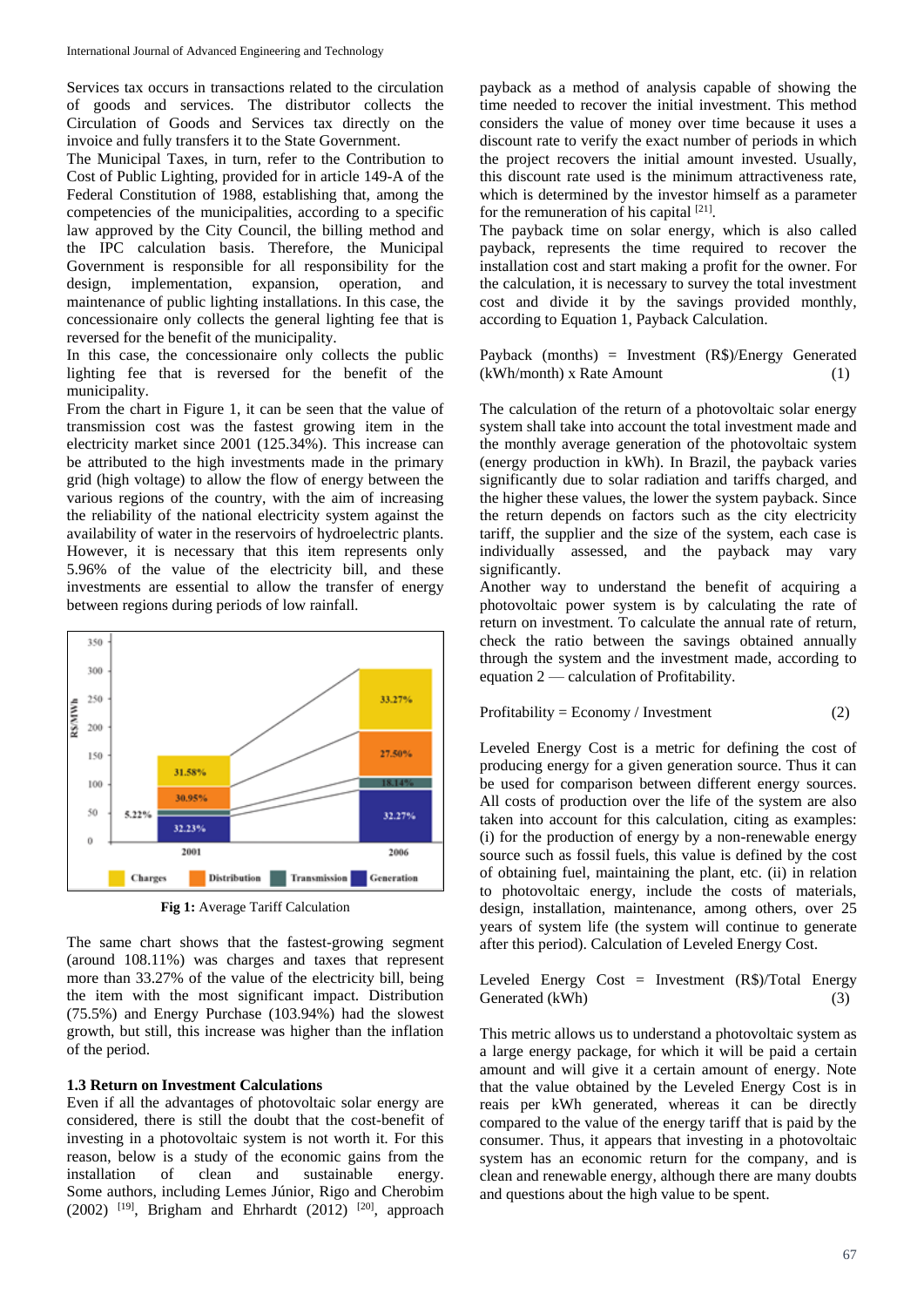Services tax occurs in transactions related to the circulation of goods and services. The distributor collects the Circulation of Goods and Services tax directly on the invoice and fully transfers it to the State Government.

The Municipal Taxes, in turn, refer to the Contribution to Cost of Public Lighting, provided for in article 149-A of the Federal Constitution of 1988, establishing that, among the competencies of the municipalities, according to a specific law approved by the City Council, the billing method and the IPC calculation basis. Therefore, the Municipal Government is responsible for all responsibility for the design, implementation, expansion, operation, and maintenance of public lighting installations. In this case, the concessionaire only collects the general lighting fee that is reversed for the benefit of the municipality.

In this case, the concessionaire only collects the public lighting fee that is reversed for the benefit of the municipality.

From the chart in Figure 1, it can be seen that the value of transmission cost was the fastest growing item in the electricity market since 2001 (125.34%). This increase can be attributed to the high investments made in the primary grid (high voltage) to allow the flow of energy between the various regions of the country, with the aim of increasing the reliability of the national electricity system against the availability of water in the reservoirs of hydroelectric plants. However, it is necessary that this item represents only 5.96% of the value of the electricity bill, and these investments are essential to allow the transfer of energy between regions during periods of low rainfall.



**Fig 1:** Average Tariff Calculation

The same chart shows that the fastest-growing segment (around 108.11%) was charges and taxes that represent more than 33.27% of the value of the electricity bill, being the item with the most significant impact. Distribution (75.5%) and Energy Purchase (103.94%) had the slowest growth, but still, this increase was higher than the inflation of the period.

### **1.3 Return on Investment Calculations**

Even if all the advantages of photovoltaic solar energy are considered, there is still the doubt that the cost-benefit of investing in a photovoltaic system is not worth it. For this reason, below is a study of the economic gains from the installation of clean and sustainable energy. Some authors, including Lemes Júnior, Rigo and Cherobim (2002) <sup>[19]</sup>, Brigham and Ehrhardt (2012) <sup>[20]</sup>, approach

payback as a method of analysis capable of showing the time needed to recover the initial investment. This method considers the value of money over time because it uses a discount rate to verify the exact number of periods in which the project recovers the initial amount invested. Usually, this discount rate used is the minimum attractiveness rate, which is determined by the investor himself as a parameter for the remuneration of his capital  $[21]$ .

The payback time on solar energy, which is also called payback, represents the time required to recover the installation cost and start making a profit for the owner. For the calculation, it is necessary to survey the total investment cost and divide it by the savings provided monthly, according to Equation 1, Payback Calculation.

Payback (months) = Investment (R\$)/Energy Generated  $(kWh/month)$  x Rate Amount (1)

The calculation of the return of a photovoltaic solar energy system shall take into account the total investment made and the monthly average generation of the photovoltaic system (energy production in kWh). In Brazil, the payback varies significantly due to solar radiation and tariffs charged, and the higher these values, the lower the system payback. Since the return depends on factors such as the city electricity tariff, the supplier and the size of the system, each case is individually assessed, and the payback may vary significantly.

Another way to understand the benefit of acquiring a photovoltaic power system is by calculating the rate of return on investment. To calculate the annual rate of return, check the ratio between the savings obtained annually through the system and the investment made, according to equation 2 — calculation of Profitability.

$$
Profitability = Economy / Investment
$$
 (2)

Leveled Energy Cost is a metric for defining the cost of producing energy for a given generation source. Thus it can be used for comparison between different energy sources. All costs of production over the life of the system are also taken into account for this calculation, citing as examples: (i) for the production of energy by a non-renewable energy source such as fossil fuels, this value is defined by the cost of obtaining fuel, maintaining the plant, etc. (ii) in relation to photovoltaic energy, include the costs of materials, design, installation, maintenance, among others, over 25 years of system life (the system will continue to generate after this period). Calculation of Leveled Energy Cost.

Leveled Energy  $Cost = Investment (R$)/Total Energy$ Generated  $(kWh)$  (3)

This metric allows us to understand a photovoltaic system as a large energy package, for which it will be paid a certain amount and will give it a certain amount of energy. Note that the value obtained by the Leveled Energy Cost is in reais per kWh generated, whereas it can be directly compared to the value of the energy tariff that is paid by the consumer. Thus, it appears that investing in a photovoltaic system has an economic return for the company, and is clean and renewable energy, although there are many doubts and questions about the high value to be spent.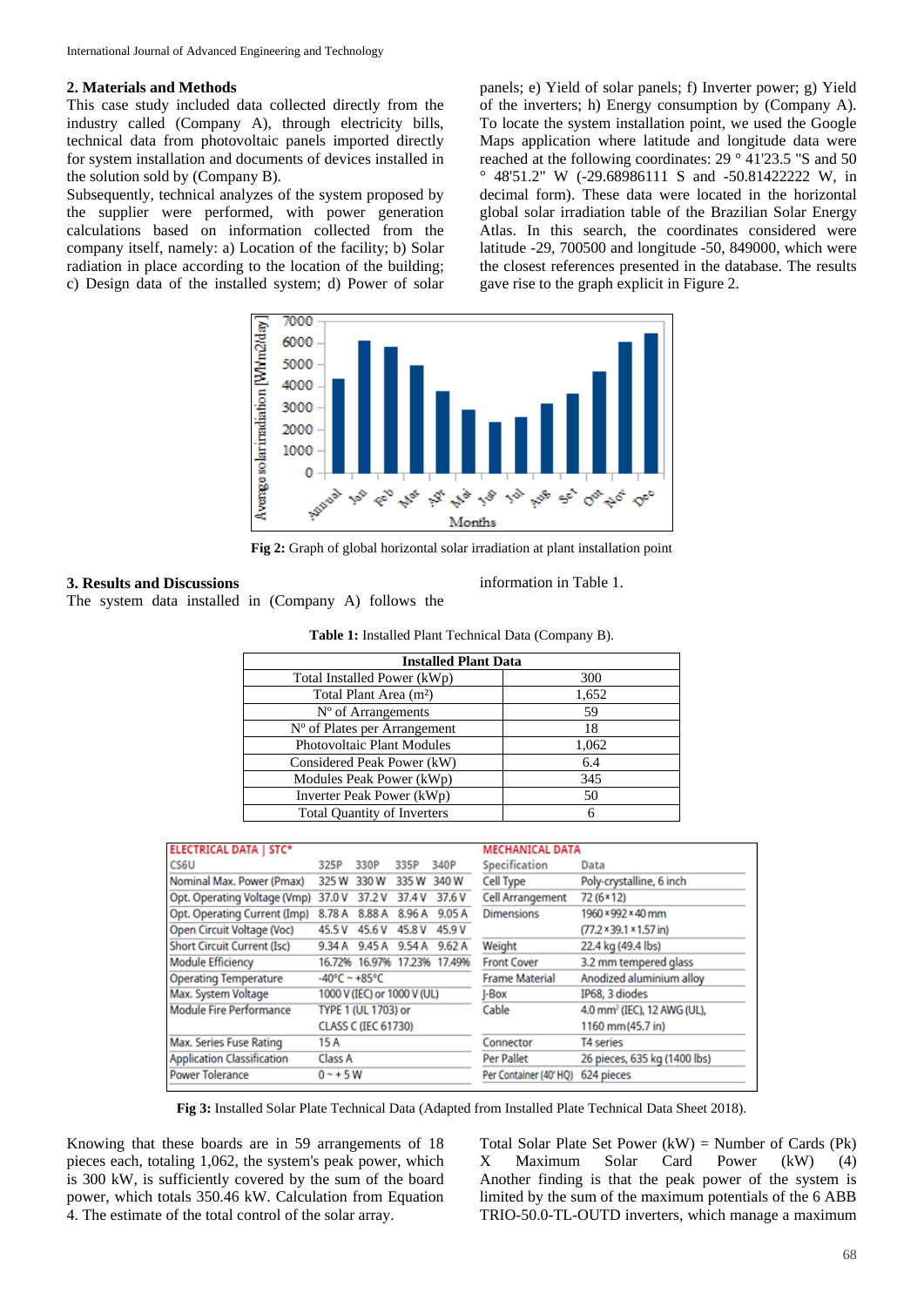#### **2. Materials and Methods**

This case study included data collected directly from the industry called (Company A), through electricity bills, technical data from photovoltaic panels imported directly for system installation and documents of devices installed in the solution sold by (Company B).

Subsequently, technical analyzes of the system proposed by the supplier were performed, with power generation calculations based on information collected from the company itself, namely: a) Location of the facility; b) Solar radiation in place according to the location of the building; c) Design data of the installed system; d) Power of solar panels; e) Yield of solar panels; f) Inverter power; g) Yield of the inverters; h) Energy consumption by (Company A). To locate the system installation point, we used the Google Maps application where latitude and longitude data were reached at the following coordinates: 29 ° 41'23.5 "S and 50 ° 48'51.2" W (-29.68986111 S and -50.81422222 W, in decimal form). These data were located in the horizontal global solar irradiation table of the Brazilian Solar Energy Atlas. In this search, the coordinates considered were latitude -29, 700500 and longitude -50, 849000, which were the closest references presented in the database. The results gave rise to the graph explicit in Figure 2.



**Fig 2:** Graph of global horizontal solar irradiation at plant installation point

information in Table 1.

#### **3. Results and Discussions**

The system data installed in (Company A) follows the

| Table 1: Installed Plant Technical Data (Company B). |  |
|------------------------------------------------------|--|
|------------------------------------------------------|--|

| <b>Installed Plant Data</b>        |       |  |  |  |
|------------------------------------|-------|--|--|--|
| Total Installed Power (kWp)        | 300   |  |  |  |
| Total Plant Area (m <sup>2</sup> ) | 1,652 |  |  |  |
| N° of Arrangements                 | 59    |  |  |  |
| N° of Plates per Arrangement       | 18    |  |  |  |
| Photovoltaic Plant Modules         | 1,062 |  |  |  |
| Considered Peak Power (kW)         | 6.4   |  |  |  |
| Modules Peak Power (kWp)           | 345   |  |  |  |
| Inverter Peak Power (kWp)          | 50    |  |  |  |
| <b>Total Quantity of Inverters</b> |       |  |  |  |

| ELECTRICAL DATA   STC*             |                         |                             |           |                                         | <b>MECHANICAL DATA</b>  |                                      |
|------------------------------------|-------------------------|-----------------------------|-----------|-----------------------------------------|-------------------------|--------------------------------------|
| CS6U                               | 325P                    | 330P                        | 335P      | 340P                                    | <b>Specification</b>    | Data                                 |
| Nominal Max. Power (Pmax)          | 325W                    | 330 W                       | 335W      | 340 W                                   | <b>Cell Type</b>        | Poly-crystalline, 6 inch             |
| Opt. Operating Voltage (Vmp)       | 37.0 V                  | 37.2V                       | 37.4 V    | 37.6 V                                  | <b>Cell Arrangement</b> | 72 (6×12)                            |
| Opt. Operating Current (Imp)       | 8.78 A                  | 8.88 A                      | 8.96 A    | 9.05A                                   | <b>Dimensions</b>       | 1960 × 992 × 40 mm                   |
| Open Circuit Voltage (Voc)         | 45.5 V                  | 45.6 V                      | 45.8 V    | 45.9 V                                  |                         | $(77.2 \times 39.1 \times 1.57)$ in) |
| <b>Short Circuit Current (Isc)</b> | 9.34 A                  | 9.45 A                      | 9.54 A    | 9.62A                                   | Weight                  | 22.4 kg (49.4 lbs)                   |
| <b>Module Efficiency</b>           |                         | 16.72% 16.97%               |           | 17.23% 17.49%                           | <b>Front Cover</b>      | 3.2 mm tempered glass                |
| <b>Operating Temperature</b>       | $-40^{\circ}$ C ~ +85°C |                             |           |                                         | <b>Frame Material</b>   | Anodized aluminium alloy             |
| Max. System Voltage                |                         | 1000 V (IEC) or 1000 V (UL) |           |                                         | $I-Box$                 | IP68, 3 diodes                       |
| <b>Module Fire Performance</b>     | TYPE 1 (UL 1703) or     |                             | Cable     | 4.0 mm <sup>2</sup> (IEC), 12 AWG (UL), |                         |                                      |
|                                    |                         | <b>CLASS C (IEC 61730)</b>  |           |                                         |                         | 1160 mm(45.7 in)                     |
| Max. Series Fuse Rating            | 15 A                    |                             | Connector | T4 series                               |                         |                                      |
| <b>Application Classification</b>  | Class A                 |                             |           |                                         | <b>Per Pallet</b>       | 26 pieces, 635 kg (1400 lbs)         |
| <b>Power Tolerance</b>             | $0 - + 5W$              |                             |           |                                         | Per Container (40'HQ)   | 624 pieces                           |

**Fig 3:** Installed Solar Plate Technical Data (Adapted from Installed Plate Technical Data Sheet 2018).

Knowing that these boards are in 59 arrangements of 18 pieces each, totaling 1,062, the system's peak power, which is 300 kW, is sufficiently covered by the sum of the board power, which totals 350.46 kW. Calculation from Equation 4. The estimate of the total control of the solar array.

Total Solar Plate Set Power  $(kW)$  = Number of Cards (Pk) X Maximum Solar Card Power (kW) (4) Another finding is that the peak power of the system is limited by the sum of the maximum potentials of the 6 ABB TRIO-50.0-TL-OUTD inverters, which manage a maximum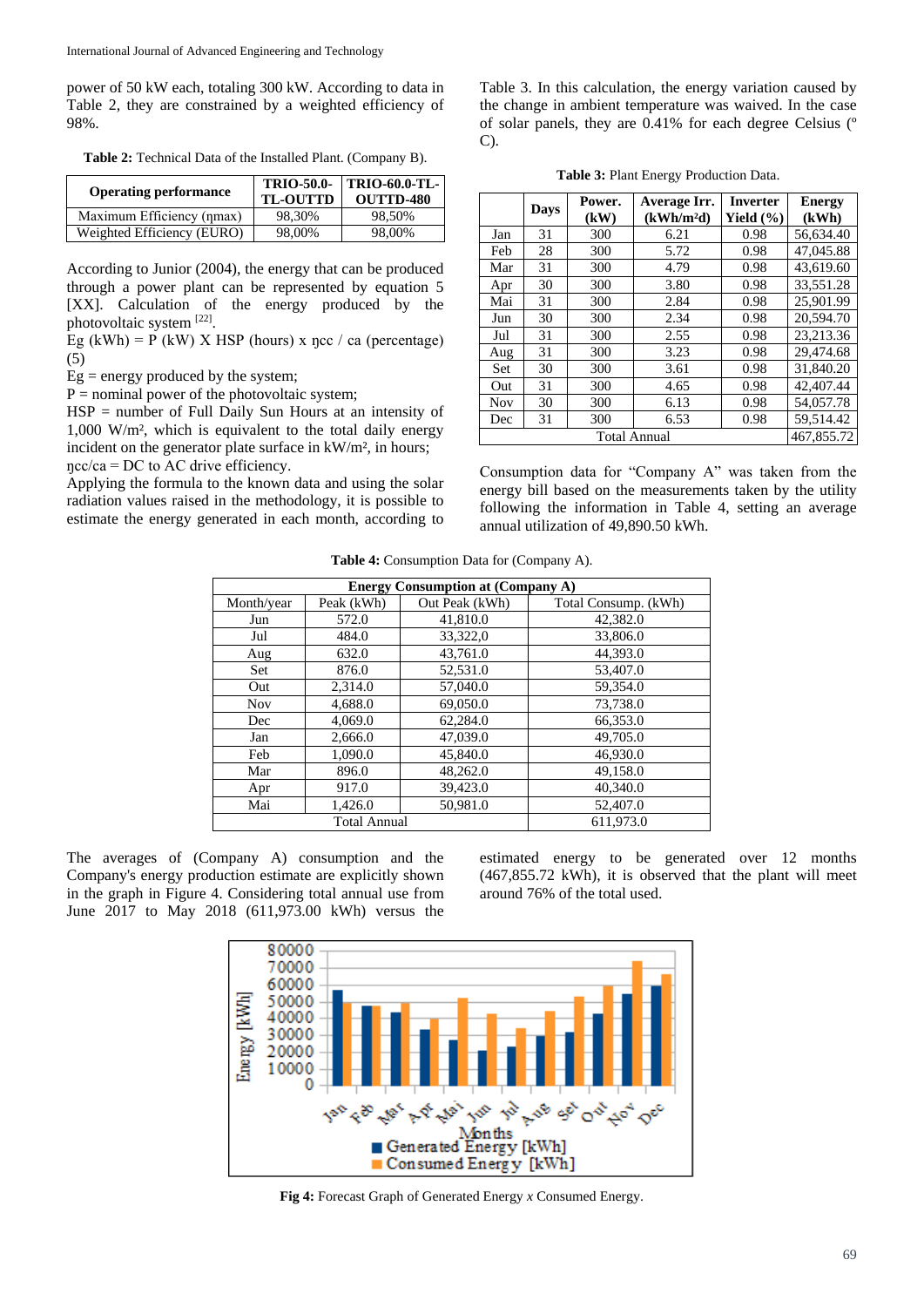power of 50 kW each, totaling 300 kW. According to data in Table 2, they are constrained by a weighted efficiency of 98%.

| Table 2: Technical Data of the Installed Plant. (Company B). |  |  |  |  |  |  |  |
|--------------------------------------------------------------|--|--|--|--|--|--|--|
|--------------------------------------------------------------|--|--|--|--|--|--|--|

| <b>Operating performance</b> | <b>TRIO-50.0-</b><br><b>TL-OUTTD</b> | <b>TRIO-60.0-TL-</b><br><b>OUTTD-480</b> |
|------------------------------|--------------------------------------|------------------------------------------|
| Maximum Efficiency (nmax)    | 98,30%                               | 98.50%                                   |
| Weighted Efficiency (EURO)   | 98,00%                               | 98,00%                                   |

According to Junior (2004), the energy that can be produced through a power plant can be represented by equation 5 [XX]. Calculation of the energy produced by the photovoltaic system [22].

Eg (kWh) = P (kW) X HSP (hours) x  $\eta$ cc / ca (percentage) (5)

 $Eg = energy produced by the system;$ 

 $P =$  nominal power of the photovoltaic system;

HSP = number of Full Daily Sun Hours at an intensity of 1,000 W/m², which is equivalent to the total daily energy incident on the generator plate surface in kW/m<sup>2</sup>, in hours;  $\text{ncc/ca} = \text{DC}$  to AC drive efficiency.

Applying the formula to the known data and using the solar radiation values raised in the methodology, it is possible to estimate the energy generated in each month, according to Table 3. In this calculation, the energy variation caused by the change in ambient temperature was waived. In the case of solar panels, they are 0.41% for each degree Celsius (º C).

**Table 3:** Plant Energy Production Data.

|            | Days       | Power.<br>(kW) | Average Irr.<br>(kWh/m <sup>2</sup> d) | <b>Inverter</b><br>Yield $(\% )$ | <b>Energy</b><br>(kWh) |
|------------|------------|----------------|----------------------------------------|----------------------------------|------------------------|
| Jan        | 31         | 300            | 6.21                                   | 0.98                             | 56,634.40              |
| Feb        | 28         | 300            | 5.72                                   | 0.98                             | 47.045.88              |
| Mar        | 31         | 300            | 4.79                                   | 0.98                             | 43.619.60              |
| Apr        | 30         | 300            | 3.80                                   | 0.98                             | 33,551.28              |
| Mai        | 31         | 300            | 2.84                                   | 0.98                             | 25.901.99              |
| Jun        | 30         | 300            | 2.34                                   | 0.98                             | 20.594.70              |
| Jul        | 31         | 300            | 2.55                                   | 0.98                             | 23.213.36              |
| Aug        | 31         | 300            | 3.23                                   | 0.98                             | 29.474.68              |
| Set        | 30         | 300            | 3.61                                   | 0.98                             | 31,840.20              |
| Out        | 31         | 300            | 4.65                                   | 0.98                             | 42,407.44              |
| <b>Nov</b> | 30         | 300            | 6.13                                   | 0.98                             | 54,057.78              |
| Dec        | 31         | 300            | 6.53                                   | 0.98                             | 59.514.42              |
|            | 467,855.72 |                |                                        |                                  |                        |

Consumption data for "Company A" was taken from the energy bill based on the measurements taken by the utility following the information in Table 4, setting an average annual utilization of 49,890.50 kWh.

**Table 4:** Consumption Data for (Company A).

| <b>Energy Consumption at (Company A)</b> |                              |           |                      |  |  |
|------------------------------------------|------------------------------|-----------|----------------------|--|--|
| Month/year                               | Peak (kWh)<br>Out Peak (kWh) |           | Total Consump. (kWh) |  |  |
| Jun                                      | 572.0                        | 41,810.0  | 42,382.0             |  |  |
| Jul                                      | 484.0                        | 33.322.0  | 33,806.0             |  |  |
| Aug                                      | 632.0                        | 43.761.0  | 44.393.0             |  |  |
| Set                                      | 876.0                        | 52,531.0  | 53,407.0             |  |  |
| Out                                      | 2,314.0                      | 57,040.0  | 59.354.0             |  |  |
| <b>Nov</b>                               | 4.688.0                      | 69.050.0  | 73.738.0             |  |  |
| Dec                                      | 4,069.0                      | 62,284.0  | 66,353.0             |  |  |
| Jan                                      | 2,666.0                      | 47,039.0  | 49,705.0             |  |  |
| Feb                                      | 1,090.0                      | 45,840.0  | 46,930.0             |  |  |
| Mar                                      | 896.0                        | 48,262.0  | 49,158.0             |  |  |
| Apr                                      | 917.0                        | 39,423.0  | 40,340.0             |  |  |
| Mai                                      | 1,426.0                      | 50,981.0  | 52,407.0             |  |  |
|                                          | <b>Total Annual</b>          | 611.973.0 |                      |  |  |

The averages of (Company A) consumption and the Company's energy production estimate are explicitly shown in the graph in Figure 4. Considering total annual use from June 2017 to May 2018 (611,973.00 kWh) versus the

estimated energy to be generated over 12 months (467,855.72 kWh), it is observed that the plant will meet around 76% of the total used.



**Fig 4:** Forecast Graph of Generated Energy *x* Consumed Energy.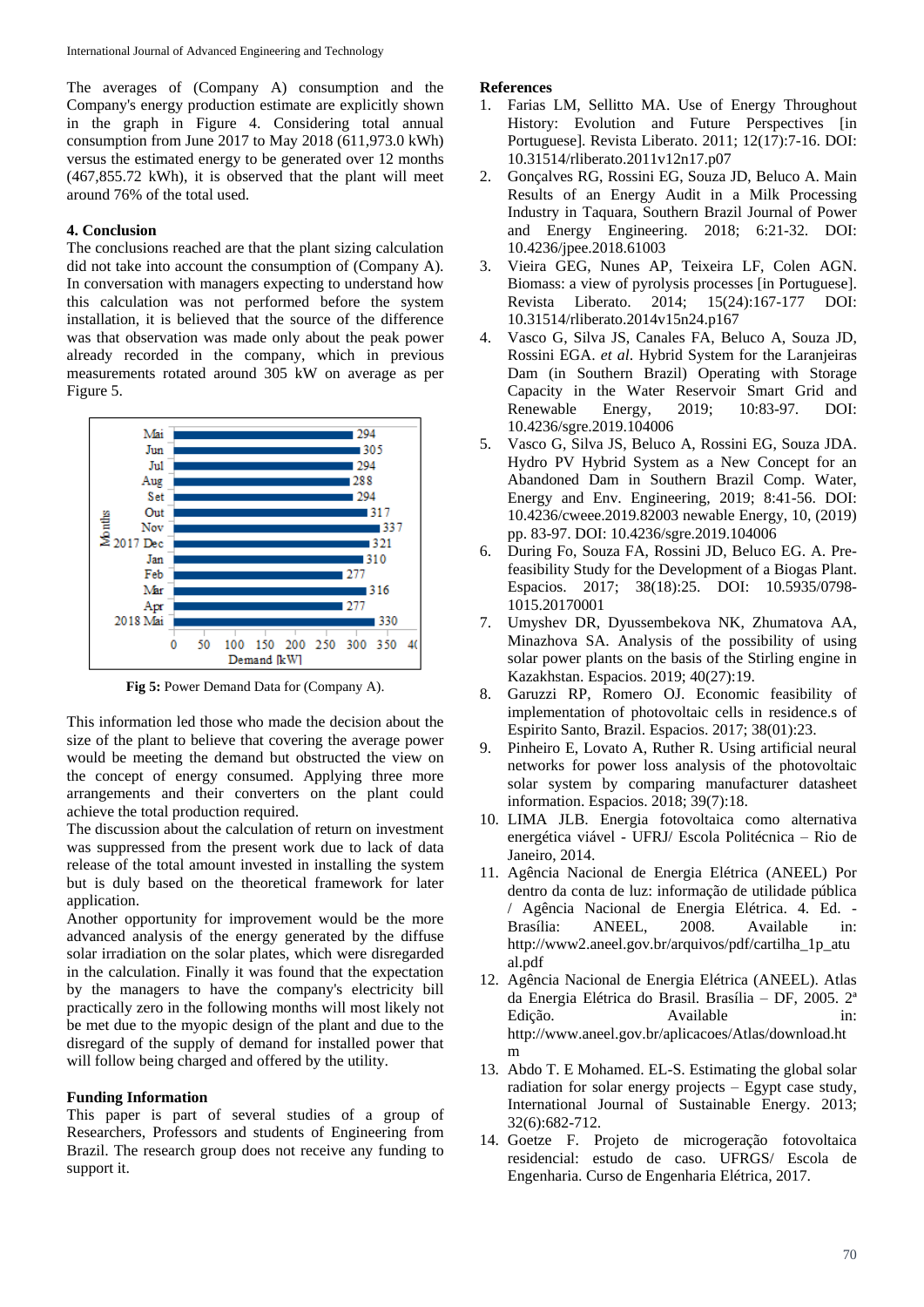The averages of (Company A) consumption and the Company's energy production estimate are explicitly shown in the graph in Figure 4. Considering total annual consumption from June 2017 to May 2018 (611,973.0 kWh) versus the estimated energy to be generated over 12 months (467,855.72 kWh), it is observed that the plant will meet around 76% of the total used.

# **4. Conclusion**

The conclusions reached are that the plant sizing calculation did not take into account the consumption of (Company A). In conversation with managers expecting to understand how this calculation was not performed before the system installation, it is believed that the source of the difference was that observation was made only about the peak power already recorded in the company, which in previous measurements rotated around 305 kW on average as per Figure 5.



**Fig 5:** Power Demand Data for (Company A).

This information led those who made the decision about the size of the plant to believe that covering the average power would be meeting the demand but obstructed the view on the concept of energy consumed. Applying three more arrangements and their converters on the plant could achieve the total production required.

The discussion about the calculation of return on investment was suppressed from the present work due to lack of data release of the total amount invested in installing the system but is duly based on the theoretical framework for later application.

Another opportunity for improvement would be the more advanced analysis of the energy generated by the diffuse solar irradiation on the solar plates, which were disregarded in the calculation. Finally it was found that the expectation by the managers to have the company's electricity bill practically zero in the following months will most likely not be met due to the myopic design of the plant and due to the disregard of the supply of demand for installed power that will follow being charged and offered by the utility.

# **Funding Information**

This paper is part of several studies of a group of Researchers, Professors and students of Engineering from Brazil. The research group does not receive any funding to support it.

# **References**

- 1. Farias LM, Sellitto MA. Use of Energy Throughout History: Evolution and Future Perspectives [in Portuguese]. Revista Liberato. 2011; 12(17):7-16. DOI: 10.31514/rliberato.2011v12n17.p07
- 2. Gonçalves RG, Rossini EG, Souza JD, Beluco A. Main Results of an Energy Audit in a Milk Processing Industry in Taquara, Southern Brazil Journal of Power and Energy Engineering. 2018; 6:21-32. DOI: 10.4236/jpee.2018.61003
- 3. Vieira GEG, Nunes AP, Teixeira LF, Colen AGN. Biomass: a view of pyrolysis processes [in Portuguese]. Revista Liberato. 2014; 15(24):167-177 DOI: 10.31514/rliberato.2014v15n24.p167
- 4. Vasco G, Silva JS, Canales FA, Beluco A, Souza JD, Rossini EGA. *et al*. Hybrid System for the Laranjeiras Dam (in Southern Brazil) Operating with Storage Capacity in the Water Reservoir Smart Grid and Renewable Energy, 2019; 10:83-97. DOI: 10.4236/sgre.2019.104006
- 5. Vasco G, Silva JS, Beluco A, Rossini EG, Souza JDA. Hydro PV Hybrid System as a New Concept for an Abandoned Dam in Southern Brazil Comp. Water, Energy and Env. Engineering, 2019; 8:41-56. DOI: 10.4236/cweee.2019.82003 newable Energy, 10, (2019) pp. 83-97. DOI: 10.4236/sgre.2019.104006
- 6. During Fo, Souza FA, Rossini JD, Beluco EG. A. Prefeasibility Study for the Development of a Biogas Plant. Espacios. 2017; 38(18):25. DOI: 10.5935/0798- 1015.20170001
- 7. Umyshev DR, Dyussembekova NK, Zhumatova AA, Minazhova SA. Analysis of the possibility of using solar power plants on the basis of the Stirling engine in Kazakhstan. Espacios. 2019; 40(27):19.
- 8. Garuzzi RP, Romero OJ. Economic feasibility of implementation of photovoltaic cells in residence.s of Espirito Santo, Brazil. Espacios. 2017; 38(01):23.
- 9. Pinheiro E, Lovato A, Ruther R. Using artificial neural networks for power loss analysis of the photovoltaic solar system by comparing manufacturer datasheet information. Espacios. 2018; 39(7):18.
- 10. LIMA JLB. Energia fotovoltaica como alternativa energética viável - UFRJ/ Escola Politécnica – Rio de Janeiro, 2014.
- 11. Agência Nacional de Energia Elétrica (ANEEL) Por dentro da conta de luz: informação de utilidade pública / Agência Nacional de Energia Elétrica. 4. Ed. - Brasília: ANEEL, 2008. Available in: http://www2.aneel.gov.br/arquivos/pdf/cartilha\_1p\_atu al.pdf
- 12. Agência Nacional de Energia Elétrica (ANEEL). Atlas da Energia Elétrica do Brasil. Brasília – DF, 2005. 2ª Edição. Available in: http://www.aneel.gov.br/aplicacoes/Atlas/download.ht m
- 13. Abdo T. E Mohamed. EL-S. Estimating the global solar radiation for solar energy projects  $-$  Egypt case study, International Journal of Sustainable Energy. 2013; 32(6):682-712.
- 14. Goetze F. Projeto de microgeração fotovoltaica residencial: estudo de caso. UFRGS/ Escola de Engenharia. Curso de Engenharia Elétrica, 2017.